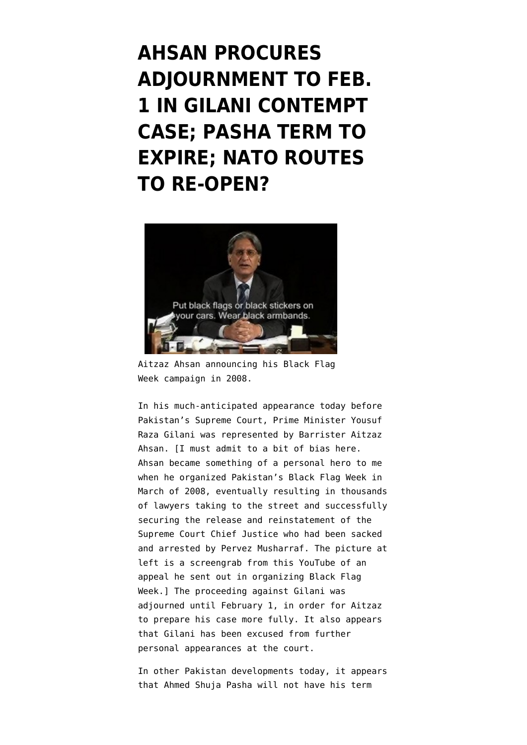**[AHSAN PROCURES](https://www.emptywheel.net/2012/01/19/ahsan-procures-adjournment-to-feb-1-in-gilani-contempt-case-pasha-term-to-expire-nato-routes-to-re-open/) [ADJOURNMENT TO FEB.](https://www.emptywheel.net/2012/01/19/ahsan-procures-adjournment-to-feb-1-in-gilani-contempt-case-pasha-term-to-expire-nato-routes-to-re-open/) [1 IN GILANI CONTEMPT](https://www.emptywheel.net/2012/01/19/ahsan-procures-adjournment-to-feb-1-in-gilani-contempt-case-pasha-term-to-expire-nato-routes-to-re-open/) [CASE; PASHA TERM TO](https://www.emptywheel.net/2012/01/19/ahsan-procures-adjournment-to-feb-1-in-gilani-contempt-case-pasha-term-to-expire-nato-routes-to-re-open/) [EXPIRE; NATO ROUTES](https://www.emptywheel.net/2012/01/19/ahsan-procures-adjournment-to-feb-1-in-gilani-contempt-case-pasha-term-to-expire-nato-routes-to-re-open/) [TO RE-OPEN?](https://www.emptywheel.net/2012/01/19/ahsan-procures-adjournment-to-feb-1-in-gilani-contempt-case-pasha-term-to-expire-nato-routes-to-re-open/)**



Aitzaz Ahsan announcing his Black Flag Week campaign in 2008.

In his much-anticipated appearance today before Pakistan's Supreme Court, Prime Minister Yousuf Raza Gilani was represented by Barrister Aitzaz Ahsan. [I must admit to a bit of bias here. Ahsan became something of a personal hero to me when he organized Pakistan's Black Flag Week in March of 2008, eventually resulting in thousands of lawyers taking to the street and successfully securing the release and reinstatement of the Supreme Court Chief Justice who had been sacked and arrested by Pervez Musharraf. The picture at left is a screengrab from [this YouTube](http://www.youtube.com/watch?v=8r5OjpXAoeA) of an appeal he sent out in organizing Black Flag Week.] The proceeding against Gilani was adiourned until February 1, in order for Aitzaz to prepare his case more fully. It also appears that Gilani has been excused from further personal appearances at the court.

In other Pakistan developments today, it appears that Ahmed Shuja [Pasha will not have his term](http://tribune.com.pk/story/323914/tenure-nears-end-no-more-extensions-for-isi-chief/)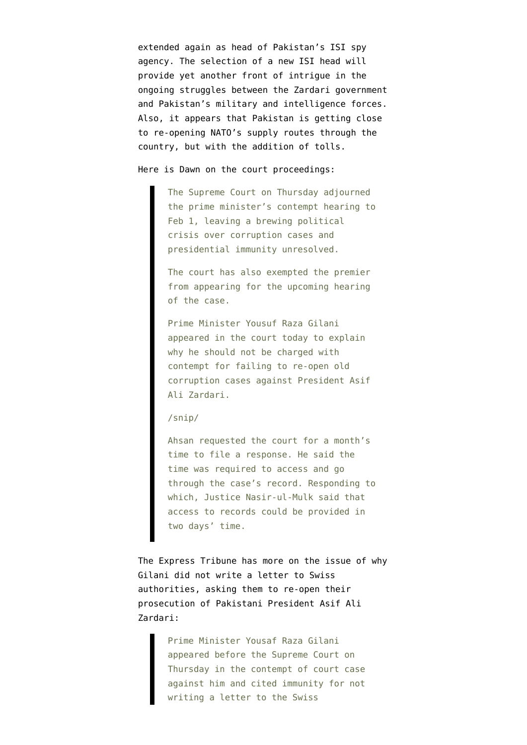[extended](http://tribune.com.pk/story/323914/tenure-nears-end-no-more-extensions-for-isi-chief/) again as head of Pakistan's ISI spy agency. The selection of a new ISI head will provide yet another front of intrigue in the ongoing struggles between the Zardari government and Pakistan's military and intelligence forces. Also, it appears that Pakistan is getting [close](http://www.reuters.com/article/2012/01/19/us-pakistan-idUSTRE80I0S120120119) [to re-opening NATO's supply routes](http://www.reuters.com/article/2012/01/19/us-pakistan-idUSTRE80I0S120120119) through the country, but with the addition of tolls.

## Here is [Dawn on the court proceedings](http://www.dawn.com/2012/01/19/gilani-arrives-at-supreme-court.html):

The Supreme Court on Thursday adjourned the prime minister's contempt hearing to Feb 1, leaving a brewing political crisis over corruption cases and presidential immunity unresolved.

The court has also exempted the premier from appearing for the upcoming hearing of the case.

Prime Minister Yousuf Raza Gilani appeared in the court today to explain why he should not be charged with contempt for failing to re-open old corruption cases against President Asif Ali Zardari.

## /snip/

Ahsan requested the court for a month's time to file a response. He said the time was required to access and go through the case's record. Responding to which, Justice Nasir-ul-Mulk said that access to records could be provided in two days' time.

The [Express Tribune has more](http://tribune.com.pk/story/323985/contempt-of-court-gilani-arrives-at-supreme-court/) on the issue of why Gilani did not write a letter to Swiss authorities, asking them to re-open their prosecution of Pakistani President Asif Ali Zardari:

> Prime Minister Yousaf Raza Gilani appeared before the Supreme Court on Thursday in the contempt of court case against him and cited immunity for not writing a letter to the Swiss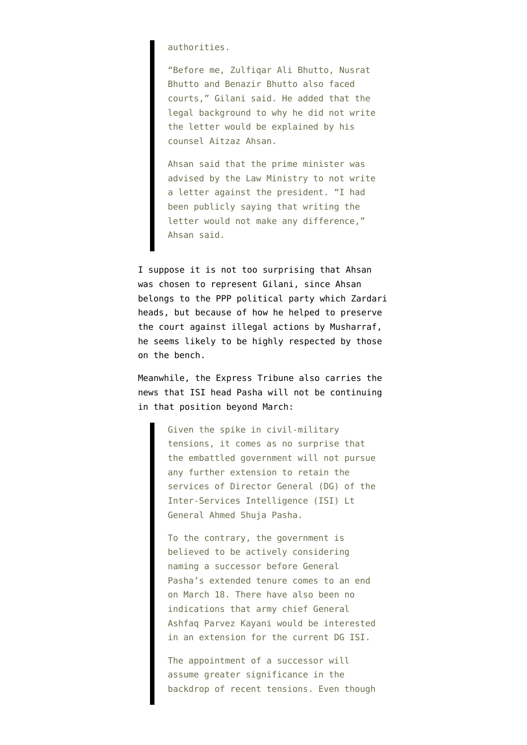## authorities.

"Before me, Zulfiqar Ali Bhutto, Nusrat Bhutto and Benazir Bhutto also faced courts," Gilani said. He added that the legal background to why he did not write the letter would be explained by his counsel Aitzaz Ahsan.

Ahsan said that the prime minister was advised by the Law Ministry to not write a letter against the president. "I had been publicly saying that writing the letter would not make any difference," Ahsan said.

I suppose it is not too surprising that Ahsan was chosen to represent Gilani, since Ahsan belongs to the PPP political party which Zardari heads, but because of how he helped to preserve the court against illegal actions by Musharraf, he seems likely to be highly respected by those on the bench.

Meanwhile, the Express Tribune also carries the news that ISI head [Pasha will not be continuing](http://tribune.com.pk/story/323914/tenure-nears-end-no-more-extensions-for-isi-chief/) [in that position beyond March](http://tribune.com.pk/story/323914/tenure-nears-end-no-more-extensions-for-isi-chief/):

> Given the spike in civil-military tensions, it comes as no surprise that the embattled government will not pursue any further extension to retain the services of Director General (DG) of the Inter-Services Intelligence (ISI) Lt General Ahmed Shuja Pasha.

> To the contrary, the government is believed to be actively considering naming a successor before General Pasha's extended tenure comes to an end on March 18. There have also been no indications that army chief General Ashfaq Parvez Kayani would be interested in an extension for the current DG ISI.

> The appointment of a successor will assume greater significance in the backdrop of recent tensions. Even though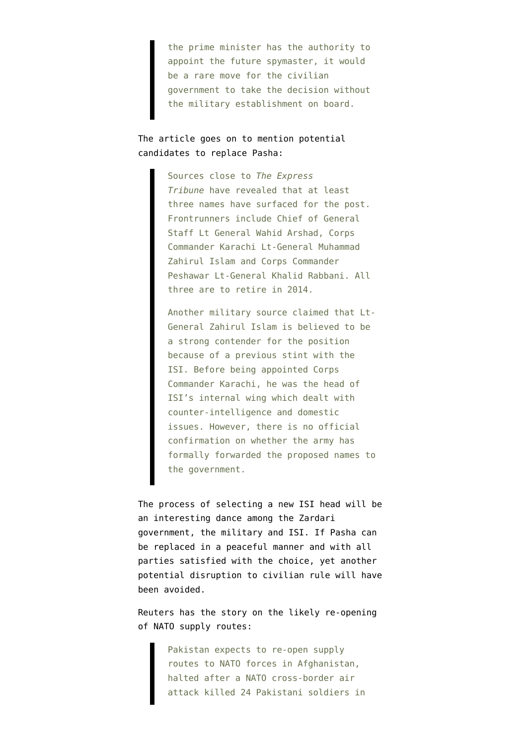the prime minister has the authority to appoint the future spymaster, it would be a rare move for the civilian government to take the decision without the military establishment on board.

The article goes on to mention potential candidates to replace Pasha:

> Sources close to *The Express Tribune* have revealed that at least three names have surfaced for the post. Frontrunners include Chief of General Staff Lt General Wahid Arshad, Corps Commander Karachi Lt-General Muhammad Zahirul Islam and Corps Commander Peshawar Lt-General Khalid Rabbani. All three are to retire in 2014.

Another military source claimed that Lt-General Zahirul Islam is believed to be a strong contender for the position because of a previous stint with the ISI. Before being appointed Corps Commander Karachi, he was the head of ISI's internal wing which dealt with counter-intelligence and domestic issues. However, there is no official confirmation on whether the army has formally forwarded the proposed names to the government.

The process of selecting a new ISI head will be an interesting dance among the Zardari government, the military and ISI. If Pasha can be replaced in a peaceful manner and with all parties satisfied with the choice, yet another potential disruption to civilian rule will have been avoided.

Reuters has the story on the [likely re-opening](http://www.reuters.com/article/2012/01/19/us-pakistan-idUSTRE80I0S120120119) [of NATO supply routes](http://www.reuters.com/article/2012/01/19/us-pakistan-idUSTRE80I0S120120119):

> Pakistan expects to re-open supply routes to NATO forces in Afghanistan, halted after a NATO cross-border air attack killed 24 Pakistani soldiers in